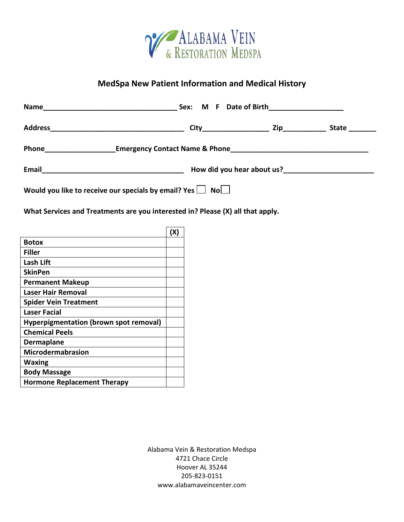

## **MedSpa New Patient Information and Medical History**

| Name                                                 | M F Date of Birth______________________<br>Sex: |              |              |
|------------------------------------------------------|-------------------------------------------------|--------------|--------------|
|                                                      |                                                 | Zip_________ | <b>State</b> |
| Phone                                                |                                                 |              |              |
| Email                                                | How did you hear about us?                      |              |              |
| Would you like to receive our specials by email? Yes | $\mathsf{No}$                                   |              |              |

**What Services and Treatments are you interested in? Please (X) all that apply.**

|                                               | (X |
|-----------------------------------------------|----|
| Botox                                         |    |
| Filler                                        |    |
| Lash Lift                                     |    |
| <b>SkinPen</b>                                |    |
| <b>Permanent Makeup</b>                       |    |
| Laser Hair Removal                            |    |
| <b>Spider Vein Treatment</b>                  |    |
| Laser Facial                                  |    |
| <b>Hyperpigmentation (brown spot removal)</b> |    |
| <b>Chemical Peels</b>                         |    |
| <b>Dermaplane</b>                             |    |
| <b>Microdermabrasion</b>                      |    |
| Waxing                                        |    |
| <b>Body Massage</b>                           |    |
| <b>Hormone Replacement Therapy</b>            |    |

Alabama Vein & Restoration Medspa 4721 Chace Circle Hoover AL 35244 205-823-0151 www.alabamaveincenter.com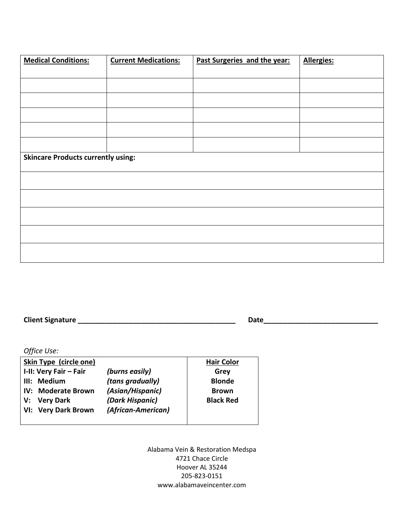| <b>Medical Conditions:</b>                | <b>Current Medications:</b> | Past Surgeries and the year: | <b>Allergies:</b> |  |  |
|-------------------------------------------|-----------------------------|------------------------------|-------------------|--|--|
|                                           |                             |                              |                   |  |  |
|                                           |                             |                              |                   |  |  |
|                                           |                             |                              |                   |  |  |
|                                           |                             |                              |                   |  |  |
|                                           |                             |                              |                   |  |  |
|                                           |                             |                              |                   |  |  |
| <b>Skincare Products currently using:</b> |                             |                              |                   |  |  |
|                                           |                             |                              |                   |  |  |
|                                           |                             |                              |                   |  |  |
|                                           |                             |                              |                   |  |  |
|                                           |                             |                              |                   |  |  |
|                                           |                             |                              |                   |  |  |

**Client Signature \_\_\_\_\_\_\_\_\_\_\_\_\_\_\_\_\_\_\_\_\_\_\_\_\_\_\_\_\_\_\_\_\_\_\_\_\_\_\_\_ Date\_\_\_\_\_\_\_\_\_\_\_\_\_\_\_\_\_\_\_\_\_\_\_\_\_\_\_\_\_**

*Office Use:*

| Skin Type (circle one) |                    | <b>Hair Color</b> |
|------------------------|--------------------|-------------------|
| I-II: Very Fair - Fair | (burns easily)     | Grey              |
| III: Medium            | (tans gradually)   | <b>Blonde</b>     |
| IV: Moderate Brown     | (Asian/Hispanic)   | <b>Brown</b>      |
| V: Very Dark           | (Dark Hispanic)    | <b>Black Red</b>  |
| VI: Very Dark Brown    | (African-American) |                   |
|                        |                    |                   |

Alabama Vein & Restoration Medspa 4721 Chace Circle Hoover AL 35244 205-823-0151 www.alabamaveincenter.com